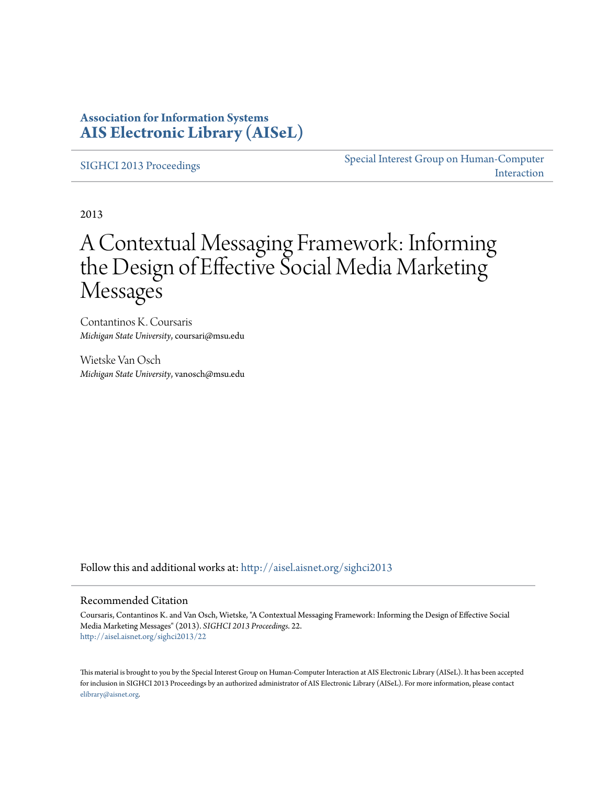### **Association for Information Systems [AIS Electronic Library \(AISeL\)](http://aisel.aisnet.org?utm_source=aisel.aisnet.org%2Fsighci2013%2F22&utm_medium=PDF&utm_campaign=PDFCoverPages)**

[SIGHCI 2013 Proceedings](http://aisel.aisnet.org/sighci2013?utm_source=aisel.aisnet.org%2Fsighci2013%2F22&utm_medium=PDF&utm_campaign=PDFCoverPages)

[Special Interest Group on Human-Computer](http://aisel.aisnet.org/sighci?utm_source=aisel.aisnet.org%2Fsighci2013%2F22&utm_medium=PDF&utm_campaign=PDFCoverPages) [Interaction](http://aisel.aisnet.org/sighci?utm_source=aisel.aisnet.org%2Fsighci2013%2F22&utm_medium=PDF&utm_campaign=PDFCoverPages)

2013

# A Contextual Messaging Framework: Informing the Design of Effective Social Media Marketing Messages

Contantinos K. Coursaris *Michigan State University*, coursari@msu.edu

Wietske Van Osch *Michigan State University*, vanosch@msu.edu

Follow this and additional works at: [http://aisel.aisnet.org/sighci2013](http://aisel.aisnet.org/sighci2013?utm_source=aisel.aisnet.org%2Fsighci2013%2F22&utm_medium=PDF&utm_campaign=PDFCoverPages)

#### Recommended Citation

Coursaris, Contantinos K. and Van Osch, Wietske, "A Contextual Messaging Framework: Informing the Design of Effective Social Media Marketing Messages" (2013). *SIGHCI 2013 Proceedings*. 22. [http://aisel.aisnet.org/sighci2013/22](http://aisel.aisnet.org/sighci2013/22?utm_source=aisel.aisnet.org%2Fsighci2013%2F22&utm_medium=PDF&utm_campaign=PDFCoverPages)

This material is brought to you by the Special Interest Group on Human-Computer Interaction at AIS Electronic Library (AISeL). It has been accepted for inclusion in SIGHCI 2013 Proceedings by an authorized administrator of AIS Electronic Library (AISeL). For more information, please contact [elibrary@aisnet.org.](mailto:elibrary@aisnet.org%3E)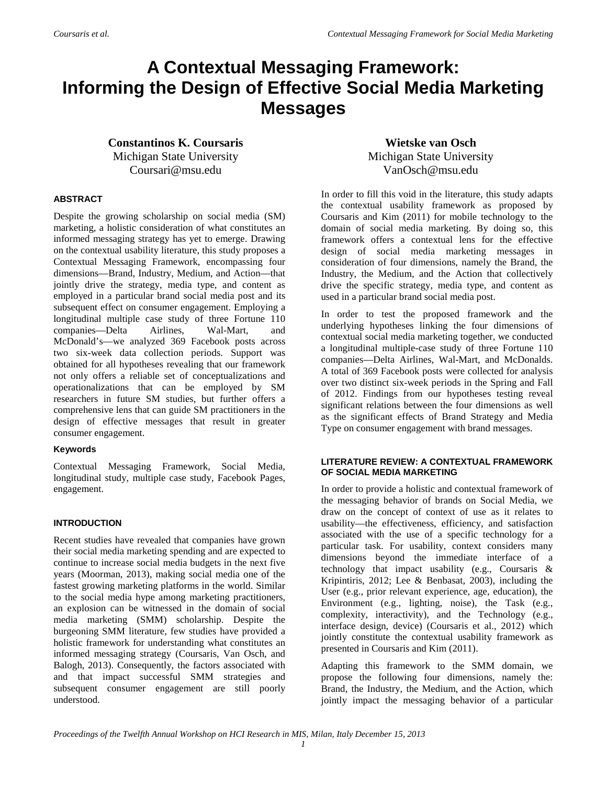## **A Contextual Messaging Framework: Informing the Design of Effective Social Media Marketing Messages**

**Constantinos K. Coursaris** Michigan State University Coursari@msu.edu

**Wietske van Osch** Michigan State University VanOsch@msu.edu

#### **ABSTRACT**

Despite the growing scholarship on social media (SM) marketing, a holistic consideration of what constitutes an informed messaging strategy has yet to emerge. Drawing on the contextual usability literature, this study proposes a Contextual Messaging Framework, encompassing four dimensions—Brand, Industry, Medium, and Action—that jointly drive the strategy, media type, and content as employed in a particular brand social media post and its subsequent effect on consumer engagement. Employing a longitudinal multiple case study of three Fortune 110 companies—Delta Airlines, Wal-Mart, and McDonald's—we analyzed 369 Facebook posts across two six-week data collection periods. Support was obtained for all hypotheses revealing that our framework not only offers a reliable set of conceptualizations and operationalizations that can be employed by SM researchers in future SM studies, but further offers a comprehensive lens that can guide SM practitioners in the design of effective messages that result in greater consumer engagement.

#### **Keywords**

Contextual Messaging Framework, Social Media, longitudinal study, multiple case study, Facebook Pages, engagement.

#### **INTRODUCTION**

Recent studies have revealed that companies have grown their social media marketing spending and are expected to continue to increase social media budgets in the next five years (Moorman, 2013), making social media one of the fastest growing marketing platforms in the world. Similar to the social media hype among marketing practitioners, an explosion can be witnessed in the domain of social media marketing (SMM) scholarship. Despite the burgeoning SMM literature, few studies have provided a holistic framework for understanding what constitutes an informed messaging strategy (Coursaris, Van Osch, and Balogh, 2013). Consequently, the factors associated with and that impact successful SMM strategies and subsequent consumer engagement are still poorly understood.

In order to fill this void in the literature, this study adapts the contextual usability framework as proposed by Coursaris and Kim (2011) for mobile technology to the domain of social media marketing. By doing so, this framework offers a contextual lens for the effective design of social media marketing messages in consideration of four dimensions, namely the Brand, the Industry, the Medium, and the Action that collectively drive the specific strategy, media type, and content as used in a particular brand social media post.

In order to test the proposed framework and the underlying hypotheses linking the four dimensions of contextual social media marketing together, we conducted a longitudinal multiple-case study of three Fortune 110 companies—Delta Airlines, Wal-Mart, and McDonalds. A total of 369 Facebook posts were collected for analysis over two distinct six-week periods in the Spring and Fall of 2012. Findings from our hypotheses testing reveal significant relations between the four dimensions as well as the significant effects of Brand Strategy and Media Type on consumer engagement with brand messages.

#### **LITERATURE REVIEW: A CONTEXTUAL FRAMEWORK OF SOCIAL MEDIA MARKETING**

In order to provide a holistic and contextual framework of the messaging behavior of brands on Social Media, we draw on the concept of context of use as it relates to usability—the effectiveness, efficiency, and satisfaction associated with the use of a specific technology for a particular task. For usability, context considers many dimensions beyond the immediate interface of a technology that impact usability (e.g., Coursaris & Kripintiris, 2012; Lee & Benbasat, 2003), including the User (e.g., prior relevant experience, age, education), the Environment (e.g., lighting, noise), the Task (e.g., complexity, interactivity), and the Technology (e.g., interface design, device) (Coursaris et al., 2012) which jointly constitute the contextual usability framework as presented in Coursaris and Kim (2011).

Adapting this framework to the SMM domain, we propose the following four dimensions, namely the: Brand, the Industry, the Medium, and the Action, which jointly impact the messaging behavior of a particular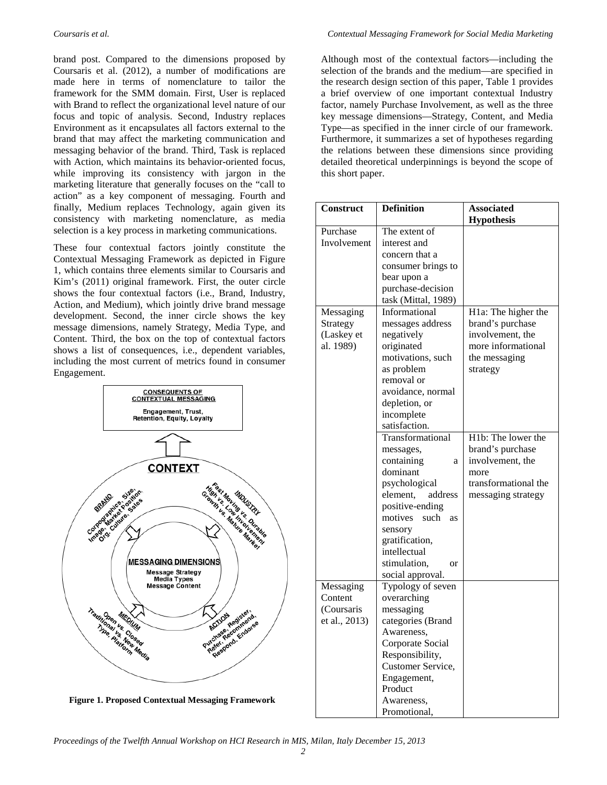brand post. Compared to the dimensions proposed by Coursaris et al. (2012), a number of modifications are made here in terms of nomenclature to tailor the framework for the SMM domain. First, User is replaced with Brand to reflect the organizational level nature of our focus and topic of analysis. Second, Industry replaces Environment as it encapsulates all factors external to the brand that may affect the marketing communication and messaging behavior of the brand. Third, Task is replaced with Action, which maintains its behavior-oriented focus, while improving its consistency with jargon in the marketing literature that generally focuses on the "call to action" as a key component of messaging. Fourth and finally, Medium replaces Technology, again given its consistency with marketing nomenclature, as media selection is a key process in marketing communications.

These four contextual factors jointly constitute the Contextual Messaging Framework as depicted in Figure 1, which contains three elements similar to Coursaris and Kim's (2011) original framework. First, the outer circle shows the four contextual factors (i.e., Brand, Industry, Action, and Medium), which jointly drive brand message development. Second, the inner circle shows the key message dimensions, namely Strategy, Media Type, and Content. Third, the box on the top of contextual factors shows a list of consequences, i.e., dependent variables, including the most current of metrics found in consumer Engagement.



**Figure 1. Proposed Contextual Messaging Framework**

Although most of the contextual factors—including the selection of the brands and the medium—are specified in the research design section of this paper, Table 1 provides a brief overview of one important contextual Industry factor, namely Purchase Involvement, as well as the three key message dimensions—Strategy, Content, and Media Type—as specified in the inner circle of our framework. Furthermore, it summarizes a set of hypotheses regarding the relations between these dimensions since providing detailed theoretical underpinnings is beyond the scope of this short paper.

| Construct     | <b>Definition</b>             | <b>Associated</b>    |
|---------------|-------------------------------|----------------------|
|               |                               | <b>Hypothesis</b>    |
| Purchase      | The extent of                 |                      |
| Involvement   | interest and                  |                      |
|               | concern that a                |                      |
|               | consumer brings to            |                      |
|               | bear upon a                   |                      |
|               | purchase-decision             |                      |
|               | task (Mittal, 1989)           |                      |
| Messaging     | Informational                 | H1a: The higher the  |
| Strategy      | messages address              | brand's purchase     |
| (Laskey et    | negatively                    | involvement, the     |
| al. 1989)     | originated                    | more informational   |
|               | motivations, such             | the messaging        |
|               | as problem                    | strategy             |
|               | removal or                    |                      |
|               | avoidance, normal             |                      |
|               | depletion, or                 |                      |
|               | incomplete                    |                      |
|               | satisfaction.                 |                      |
|               | Transformational              | H1b: The lower the   |
|               | messages,                     | brand's purchase     |
|               | containing<br>a               | involvement, the     |
|               | dominant                      | more                 |
|               | psychological                 | transformational the |
|               | address<br>element,           | messaging strategy   |
|               | positive-ending               |                      |
|               | such<br>motives<br>as         |                      |
|               | sensory                       |                      |
|               | gratification,                |                      |
|               | intellectual                  |                      |
|               | stimulation,<br><sub>or</sub> |                      |
|               | social approval.              |                      |
| Messaging     | Typology of seven             |                      |
| Content       | overarching                   |                      |
| (Coursaris    | messaging                     |                      |
| et al., 2013) | categories (Brand             |                      |
|               | Awareness,                    |                      |
|               | Corporate Social              |                      |
|               | Responsibility,               |                      |
|               | Customer Service,             |                      |
|               | Engagement,                   |                      |
|               | Product                       |                      |
|               | Awareness,                    |                      |
|               | Promotional,                  |                      |

*Proceedings of the Twelfth Annual Workshop on HCI Research in MIS, Milan, Italy December 15, 2013*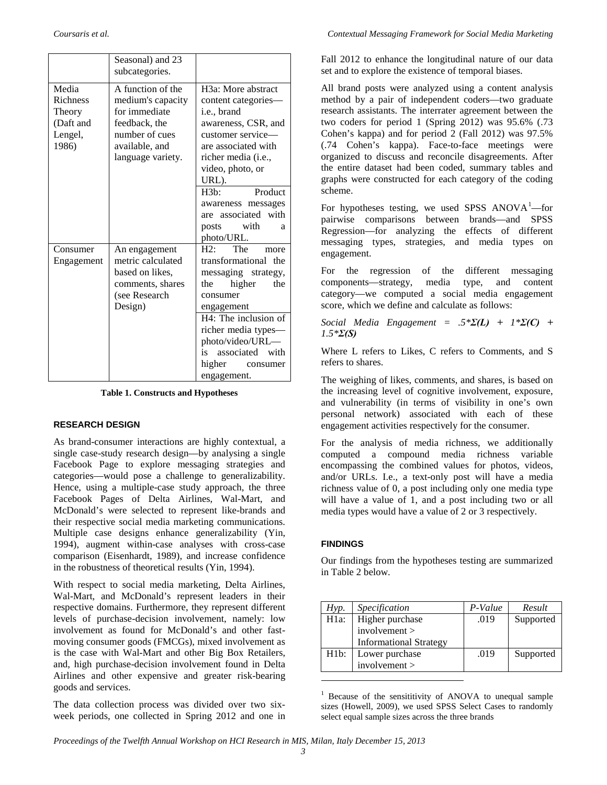|                                                                     | Seasonal) and 23<br>subcategories.                                                                                                |                                                                                                                                                                                                                   |  |
|---------------------------------------------------------------------|-----------------------------------------------------------------------------------------------------------------------------------|-------------------------------------------------------------------------------------------------------------------------------------------------------------------------------------------------------------------|--|
| Media<br><b>Richness</b><br>Theory<br>(Daft and<br>Lengel,<br>1986) | A function of the<br>medium's capacity<br>for immediate<br>feedback, the<br>number of cues<br>available, and<br>language variety. | H <sub>3</sub> a: More abstract<br>content categories-<br>i.e., brand<br>awareness, CSR, and<br>customer service—<br>are associated with<br>richer media (i.e.,<br>video, photo, or<br>URL).<br>Product<br>H3b:   |  |
|                                                                     |                                                                                                                                   | awareness messages<br>are associated with<br>posts with<br>a<br>photo/URL.                                                                                                                                        |  |
| Consumer<br>Engagement                                              | An engagement<br>metric calculated<br>based on likes,<br>comments, shares<br>(see Research<br>Design)                             | $H2:$ The<br>more<br>transformational the<br>messaging<br>strategy,<br>the<br>higher<br>the<br>consumer<br>engagement<br>H4: The inclusion of<br>richer media types—<br>photo/video/URL-<br>associated with<br>is |  |
|                                                                     |                                                                                                                                   | higher consumer<br>engagement.                                                                                                                                                                                    |  |

**Table 1. Constructs and Hypotheses**

#### **RESEARCH DESIGN**

As brand-consumer interactions are highly contextual, a single case-study research design—by analysing a single Facebook Page to explore messaging strategies and categories—would pose a challenge to generalizability. Hence, using a multiple-case study approach, the three Facebook Pages of Delta Airlines, Wal-Mart, and McDonald's were selected to represent like-brands and their respective social media marketing communications. Multiple case designs enhance generalizability (Yin, 1994), augment within-case analyses with cross-case comparison (Eisenhardt, 1989), and increase confidence in the robustness of theoretical results (Yin, 1994).

With respect to social media marketing, Delta Airlines, Wal-Mart, and McDonald's represent leaders in their respective domains. Furthermore, they represent different levels of purchase-decision involvement, namely: low involvement as found for McDonald's and other fastmoving consumer goods (FMCGs), mixed involvement as is the case with Wal-Mart and other Big Box Retailers, and, high purchase-decision involvement found in Delta Airlines and other expensive and greater risk-bearing goods and services.

<span id="page-3-0"></span>The data collection process was divided over two sixweek periods, one collected in Spring 2012 and one in Fall 2012 to enhance the longitudinal nature of our data set and to explore the existence of temporal biases.

All brand posts were analyzed using a content analysis method by a pair of independent coders—two graduate research assistants. The interrater agreement between the two coders for period 1 (Spring 2012) was 95.6% (.73 Cohen's kappa) and for period 2 (Fall 2012) was 97.5% (.74 Cohen's kappa). Face-to-face meetings were organized to discuss and reconcile disagreements. After the entire dataset had been coded, summary tables and graphs were constructed for each category of the coding scheme.

For hypotheses testing, we used SPSS  $ANOVA<sup>1</sup>$  $ANOVA<sup>1</sup>$  $ANOVA<sup>1</sup>$ -for pairwise comparisons between brands—and SPSS Regression—for analyzing the effects of different messaging types, strategies, and media types on engagement.

For the regression of the different messaging components—strategy, media type, and content category—we computed a social media engagement score, which we define and calculate as follows:

*Social Media Engagement = .5\*Σ(L) + 1\*Σ(C) + 1.5\*Σ(S)* 

Where L refers to Likes, C refers to Comments, and S refers to shares.

The weighing of likes, comments, and shares, is based on the increasing level of cognitive involvement, exposure, and vulnerability (in terms of visibility in one's own personal network) associated with each of these engagement activities respectively for the consumer.

For the analysis of media richness, we additionally computed a compound media richness variable encompassing the combined values for photos, videos, and/or URLs. I.e., a text-only post will have a media richness value of 0, a post including only one media type will have a value of 1, and a post including two or all media types would have a value of 2 or 3 respectively.

#### **FINDINGS**

Our findings from the hypotheses testing are summarized in Table 2 below.

| Hyp.              | <i>Specification</i>          | P-Value | Result    |
|-------------------|-------------------------------|---------|-----------|
| H1a:              | Higher purchase               | .019    | Supported |
|                   | involvement                   |         |           |
|                   | <b>Informational Strategy</b> |         |           |
| H <sub>1</sub> b: | Lower purchase                | .019    | Supported |
|                   | involvement                   |         |           |
|                   |                               |         |           |

<sup>1</sup> Because of the sensititivity of ANOVA to unequal sample sizes (Howell, 2009), we used SPSS Select Cases to randomly select equal sample sizes across the three brands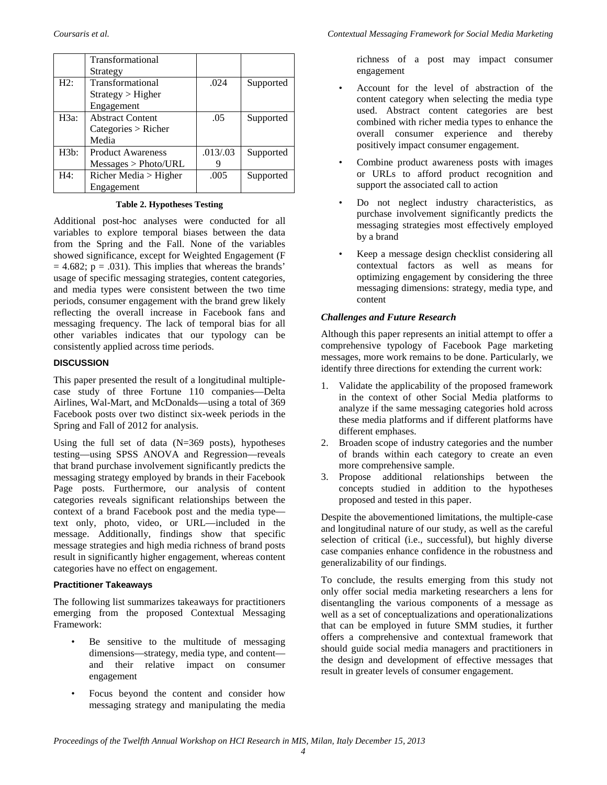|         | <b>Transformational</b>  |         |           |
|---------|--------------------------|---------|-----------|
|         | Strategy                 |         |           |
| H2:     | Transformational         | .024    | Supported |
|         | Strategy > Higher        |         |           |
|         | Engagement               |         |           |
| $H3a$ : | <b>Abstract Content</b>  | .05     | Supported |
|         | Categorical > Richer     |         |           |
|         | Media                    |         |           |
| H3b:    | <b>Product Awareness</b> | .013/03 | Supported |
|         | Messages > Photo/URL     |         |           |
| H4:     | Richer Media $>$ Higher  | .005    | Supported |
|         | Engagement               |         |           |

**Table 2. Hypotheses Testing**

Additional post-hoc analyses were conducted for all variables to explore temporal biases between the data from the Spring and the Fall. None of the variables showed significance, except for Weighted Engagement (F  $= 4.682$ ;  $p = .031$ ). This implies that whereas the brands' usage of specific messaging strategies, content categories, and media types were consistent between the two time periods, consumer engagement with the brand grew likely reflecting the overall increase in Facebook fans and messaging frequency. The lack of temporal bias for all other variables indicates that our typology can be consistently applied across time periods.

#### **DISCUSSION**

This paper presented the result of a longitudinal multiplecase study of three Fortune 110 companies—Delta Airlines, Wal-Mart, and McDonalds—using a total of 369 Facebook posts over two distinct six-week periods in the Spring and Fall of 2012 for analysis.

Using the full set of data  $(N=369 \text{ posts})$ , hypotheses testing—using SPSS ANOVA and Regression—reveals that brand purchase involvement significantly predicts the messaging strategy employed by brands in their Facebook Page posts. Furthermore, our analysis of content categories reveals significant relationships between the context of a brand Facebook post and the media type text only, photo, video, or URL—included in the message. Additionally, findings show that specific message strategies and high media richness of brand posts result in significantly higher engagement, whereas content categories have no effect on engagement.

#### **Practitioner Takeaways**

The following list summarizes takeaways for practitioners emerging from the proposed Contextual Messaging Framework:

- Be sensitive to the multitude of messaging dimensions—strategy, media type, and content and their relative impact on consumer engagement
- Focus beyond the content and consider how messaging strategy and manipulating the media

richness of a post may impact consumer engagement

- Account for the level of abstraction of the content category when selecting the media type used. Abstract content categories are best combined with richer media types to enhance the overall consumer experience and thereby positively impact consumer engagement.
- Combine product awareness posts with images or URLs to afford product recognition and support the associated call to action
- Do not neglect industry characteristics, as purchase involvement significantly predicts the messaging strategies most effectively employed by a brand
- Keep a message design checklist considering all contextual factors as well as means for optimizing engagement by considering the three messaging dimensions: strategy, media type, and content

#### *Challenges and Future Research*

Although this paper represents an initial attempt to offer a comprehensive typology of Facebook Page marketing messages, more work remains to be done. Particularly, we identify three directions for extending the current work:

- 1. Validate the applicability of the proposed framework in the context of other Social Media platforms to analyze if the same messaging categories hold across these media platforms and if different platforms have different emphases.
- 2. Broaden scope of industry categories and the number of brands within each category to create an even more comprehensive sample.
- 3. Propose additional relationships between the concepts studied in addition to the hypotheses proposed and tested in this paper.

Despite the abovementioned limitations, the multiple-case and longitudinal nature of our study, as well as the careful selection of critical (i.e., successful), but highly diverse case companies enhance confidence in the robustness and generalizability of our findings.

To conclude, the results emerging from this study not only offer social media marketing researchers a lens for disentangling the various components of a message as well as a set of conceptualizations and operationalizations that can be employed in future SMM studies, it further offers a comprehensive and contextual framework that should guide social media managers and practitioners in the design and development of effective messages that result in greater levels of consumer engagement.